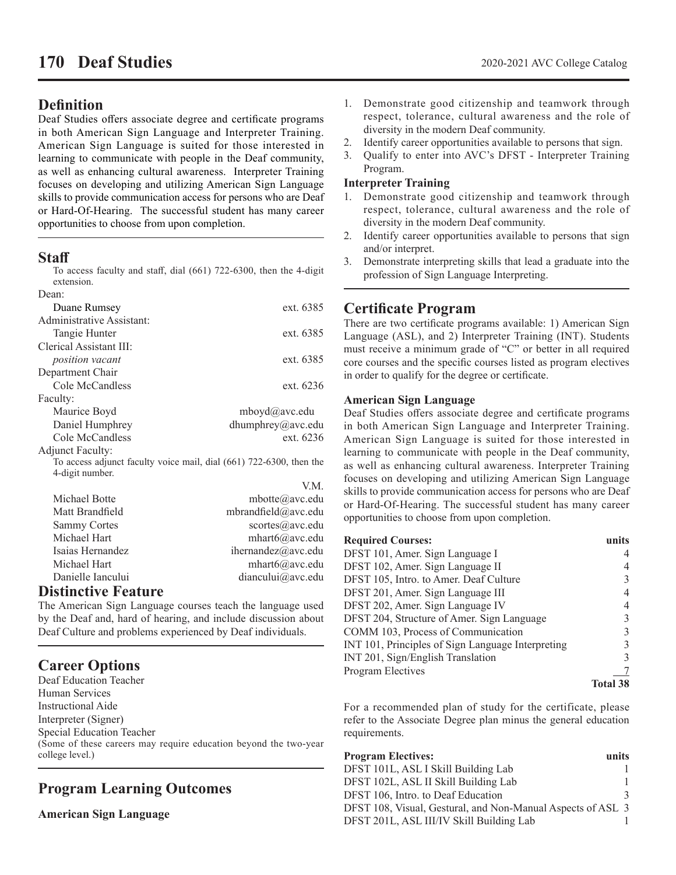# **Definition**

Deaf Studies offers associate degree and certificate programs in both American Sign Language and Interpreter Training. American Sign Language is suited for those interested in learning to communicate with people in the Deaf community, as well as enhancing cultural awareness. Interpreter Training focuses on developing and utilizing American Sign Language skills to provide communication access for persons who are Deaf or Hard-Of-Hearing. The successful student has many career opportunities to choose from upon completion.

## **Staff**

To access faculty and staff, dial (661) 722-6300, then the 4-digit extension.

| Dean:                     |                                                                     |
|---------------------------|---------------------------------------------------------------------|
| Duane Rumsey              | ext. 6385                                                           |
| Administrative Assistant: |                                                                     |
| Tangie Hunter             | ext. 6385                                                           |
| Clerical Assistant III:   |                                                                     |
| <i>position</i> vacant    | ext. 6385                                                           |
| Department Chair          |                                                                     |
| Cole McCandless           | ext. 6236                                                           |
| Faculty:                  |                                                                     |
| Maurice Boyd              | $m$ boyd $(a)$ avc.edu                                              |
| Daniel Humphrey           | dhumphrey@avc.edu                                                   |
| Cole McCandless           | ext. 6236                                                           |
| <b>Adjunct Faculty:</b>   |                                                                     |
|                           | To access adjunct faculty voice mail, dial (661) 722-6300, then the |
| 4-digit number.           |                                                                     |
|                           | V.M.                                                                |
| Michael Botte             | $mbotted$ (a) avc.edu                                               |

| Michael Botte                                                                                                   | mbotte $(a)$ avc.edu |
|-----------------------------------------------------------------------------------------------------------------|----------------------|
| Matt Brandfield                                                                                                 | mbrandfield@avc.edu  |
| <b>Sammy Cortes</b>                                                                                             | scortes@avc.edu      |
| Michael Hart                                                                                                    | mhart6@avc.edu       |
| Isaias Hernandez                                                                                                | ihernandez@avc.edu   |
| Michael Hart                                                                                                    | $mhat6(a)$ avc.edu   |
| Danielle Iancului                                                                                               | diancului@avc.edu    |
| Nasara sa sa Tuga na Tuga na Tuga sa Tuga na Tuga sa Tuga na Tuga sa Tuga sa Tuga sa Tuga sa Tuga sa Tuga sa Tu |                      |

# **Distinctive Feature**

The American Sign Language courses teach the language used by the Deaf and, hard of hearing, and include discussion about Deaf Culture and problems experienced by Deaf individuals.

# **Career Options**

Deaf Education Teacher Human Services Instructional Aide Interpreter (Signer) Special Education Teacher (Some of these careers may require education beyond the two-year college level.)

# **Program Learning Outcomes**

**American Sign Language**

- 1. Demonstrate good citizenship and teamwork through respect, tolerance, cultural awareness and the role of diversity in the modern Deaf community.
- 2. Identify career opportunities available to persons that sign.
- 3. Qualify to enter into AVC's DFST Interpreter Training Program.

#### **Interpreter Training**

- 1. Demonstrate good citizenship and teamwork through respect, tolerance, cultural awareness and the role of diversity in the modern Deaf community.
- 2. Identify career opportunities available to persons that sign and/or interpret.
- 3. Demonstrate interpreting skills that lead a graduate into the profession of Sign Language Interpreting.

# **Certificate Program**

There are two certificate programs available: 1) American Sign Language (ASL), and 2) Interpreter Training (INT). Students must receive a minimum grade of "C" or better in all required core courses and the specific courses listed as program electives in order to qualify for the degree or certificate.

#### **American Sign Language**

Deaf Studies offers associate degree and certificate programs in both American Sign Language and Interpreter Training. American Sign Language is suited for those interested in learning to communicate with people in the Deaf community, as well as enhancing cultural awareness. Interpreter Training focuses on developing and utilizing American Sign Language skills to provide communication access for persons who are Deaf or Hard-Of-Hearing. The successful student has many career opportunities to choose from upon completion.

| <b>Required Courses:</b>                          | unite    |
|---------------------------------------------------|----------|
| DFST 101, Amer. Sign Language I                   |          |
| DFST 102, Amer. Sign Language II                  |          |
| DFST 105, Intro. to Amer. Deaf Culture            |          |
| DFST 201, Amer. Sign Language III                 |          |
| DFST 202, Amer. Sign Language IV                  |          |
| DFST 204, Structure of Amer. Sign Language        |          |
| COMM 103, Process of Communication                |          |
| INT 101, Principles of Sign Language Interpreting |          |
| INT 201, Sign/English Translation                 |          |
| Program Electives                                 |          |
|                                                   | Total 38 |

For a recommended plan of study for the certificate, please refer to the Associate Degree plan minus the general education requirements.

| <b>Program Electives:</b>                                   | units |
|-------------------------------------------------------------|-------|
| DFST 101L, ASL I Skill Building Lab                         |       |
| DFST 102L, ASL II Skill Building Lab                        |       |
| DFST 106, Intro. to Deaf Education                          |       |
| DFST 108, Visual, Gestural, and Non-Manual Aspects of ASL 3 |       |
| DFST 201L, ASL III/IV Skill Building Lab                    |       |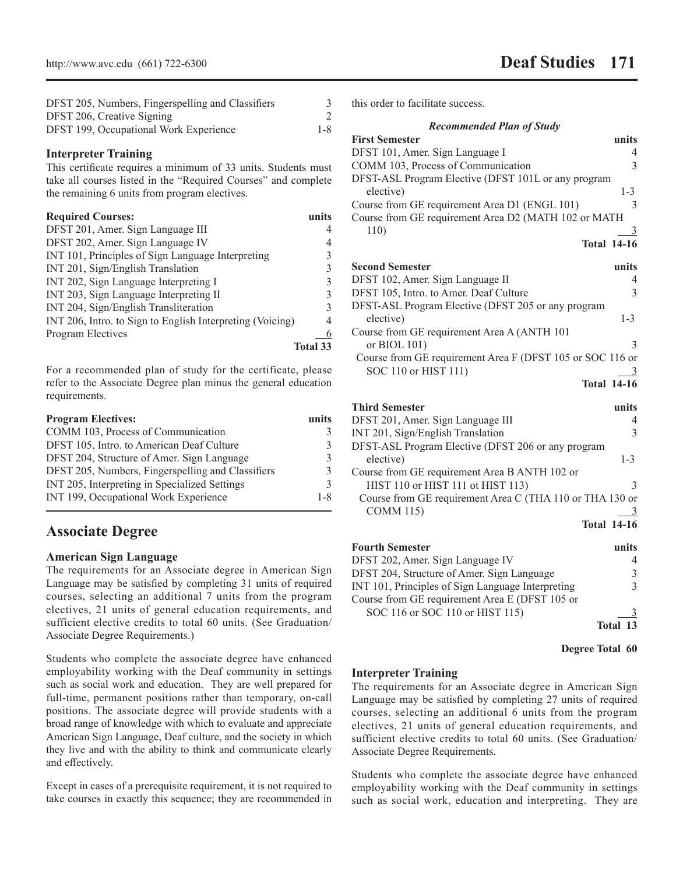| DFST 205, Numbers, Fingerspelling and Classifiers |         |
|---------------------------------------------------|---------|
| DFST 206, Creative Signing                        |         |
| DFST 199, Occupational Work Experience            | $1 - 8$ |

#### **Interpreter Training**

This certificate requires a minimum of 33 units. Students must take all courses listed in the "Required Courses" and complete the remaining 6 units from program electives.

| <b>Required Courses:</b>                                  | units           |
|-----------------------------------------------------------|-----------------|
| DFST 201, Amer. Sign Language III                         | 4               |
| DFST 202, Amer. Sign Language IV                          | 4               |
| INT 101, Principles of Sign Language Interpreting         | 3               |
| INT 201, Sign/English Translation                         | $\mathcal{E}$   |
| INT 202, Sign Language Interpreting I                     | 3               |
| INT 203, Sign Language Interpreting II                    | $\mathcal{E}$   |
| INT 204, Sign/English Transliteration                     | $\mathcal{E}$   |
| INT 206, Intro. to Sign to English Interpreting (Voicing) | 4               |
| Program Electives                                         | 6               |
|                                                           | <b>Total 33</b> |

For a recommended plan of study for the certificate, please refer to the Associate Degree plan minus the general education requirements.

| units         |
|---------------|
| 3             |
| 3             |
| 3             |
| 3             |
| $\mathcal{R}$ |
| $1 - 8$       |
|               |

# **Associate Degree**

#### **American Sign Language**

The requirements for an Associate degree in American Sign Language may be satisfied by completing 31 units of required courses, selecting an additional 7 units from the program electives, 21 units of general education requirements, and sufficient elective credits to total 60 units. (See Graduation/ Associate Degree Requirements.)

Students who complete the associate degree have enhanced employability working with the Deaf community in settings such as social work and education. They are well prepared for full-time, permanent positions rather than temporary, on-call positions. The associate degree will provide students with a broad range of knowledge with which to evaluate and appreciate American Sign Language, Deaf culture, and the society in which they live and with the ability to think and communicate clearly and effectively.

Except in cases of a prerequisite requirement, it is not required to take courses in exactly this sequence; they are recommended in this order to facilitate success.

| <b>Recommended Plan of Study</b>                          |               |
|-----------------------------------------------------------|---------------|
| <b>First Semester</b>                                     | units         |
| DFST 101, Amer. Sign Language I                           | 4             |
| COMM 103, Process of Communication                        | $\mathcal{E}$ |
| DFST-ASL Program Elective (DFST 101L or any program       |               |
| elective)                                                 | $1 - 3$       |
| Course from GE requirement Area D1 (ENGL 101)             | $\mathcal{E}$ |
| Course from GE requirement Area D2 (MATH 102 or MATH      |               |
| 110)                                                      | 3             |
| <b>Total 14-16</b>                                        |               |
| <b>Second Semester</b>                                    | units         |
|                                                           |               |
| DFST 102, Amer. Sign Language II                          | 4             |
| DFST 105, Intro. to Amer. Deaf Culture                    | 3             |
| DFST-ASL Program Elective (DFST 205 or any program        |               |
| elective)                                                 | $1 - 3$       |
| Course from GE requirement Area A (ANTH 101               |               |
| or BIOL 101)                                              | $\mathcal{R}$ |
| Course from GE requirement Area F (DFST 105 or SOC 116 or |               |
| SOC 110 or HIST 111)                                      | 3             |
| <b>Total 14-16</b>                                        |               |
| <b>Third Semester</b>                                     | units         |

| DFST 201, Amer. Sign Language III                        |         |
|----------------------------------------------------------|---------|
| INT 201, Sign/English Translation                        |         |
| DFST-ASL Program Elective (DFST 206 or any program       |         |
| elective)                                                | $1 - 3$ |
| Course from GE requirement Area B ANTH 102 or            |         |
| HIST 110 or HIST 111 ot HIST 113)                        |         |
| Course from GE requirement Area C (THA 110 or THA 130 or |         |
| <b>COMM 115)</b>                                         |         |
| <b>Total 14-16</b>                                       |         |

| <b>Fourth Semester</b>                            | units    |
|---------------------------------------------------|----------|
| DFST 202, Amer. Sign Language IV                  |          |
| DFST 204, Structure of Amer. Sign Language        | 3        |
| INT 101, Principles of Sign Language Interpreting |          |
| Course from GE requirement Area E (DFST 105 or    |          |
| SOC 116 or SOC 110 or HIST 115)                   |          |
|                                                   | Total 13 |

**Degree Total 60**

#### **Interpreter Training**

The requirements for an Associate degree in American Sign Language may be satisfied by completing 27 units of required courses, selecting an additional 6 units from the program electives, 21 units of general education requirements, and sufficient elective credits to total 60 units. (See Graduation/ Associate Degree Requirements.

Students who complete the associate degree have enhanced employability working with the Deaf community in settings such as social work, education and interpreting. They are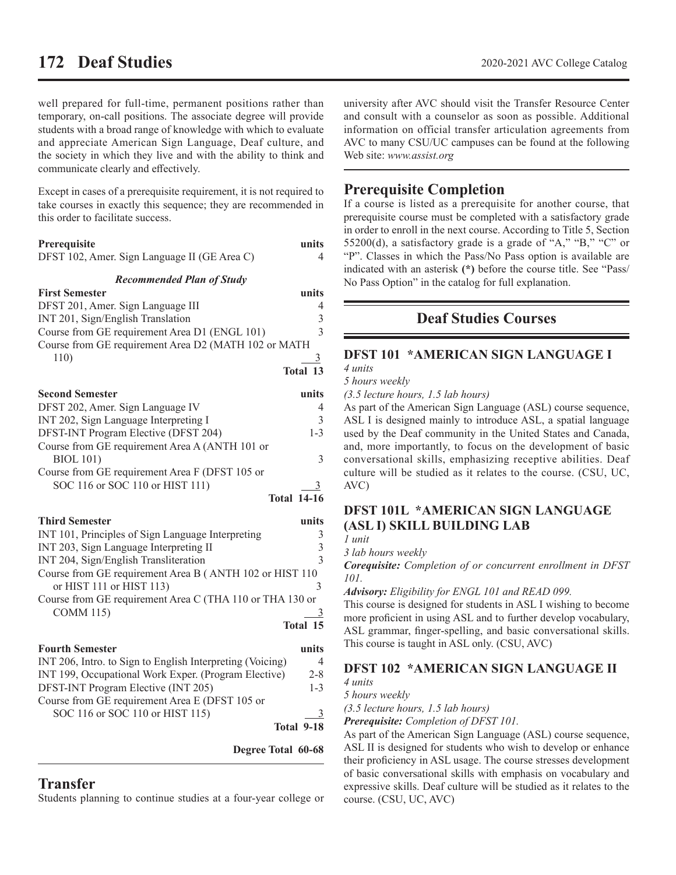# **172 Deaf Studies** 2020-2021 AVC College Catalog

well prepared for full-time, permanent positions rather than temporary, on-call positions. The associate degree will provide students with a broad range of knowledge with which to evaluate and appreciate American Sign Language, Deaf culture, and the society in which they live and with the ability to think and communicate clearly and effectively.

Except in cases of a prerequisite requirement, it is not required to take courses in exactly this sequence; they are recommended in this order to facilitate success.

#### **Prerequisite units**

| DFST 102, Amer. Sign Language II (GE Area C) |  |  |  |
|----------------------------------------------|--|--|--|
|----------------------------------------------|--|--|--|

*Recommended Plan of Study*

| <b>First Semester</b>                                | units        |
|------------------------------------------------------|--------------|
| DFST 201, Amer. Sign Language III                    |              |
| INT 201, Sign/English Translation                    | 3            |
| Course from GE requirement Area D1 (ENGL 101)        | $\mathbf{3}$ |
| Course from GE requirement Area D2 (MATH 102 or MATH |              |
| 110)                                                 |              |
|                                                      | Total 13     |

| <b>Second Semester</b>                         | units              |
|------------------------------------------------|--------------------|
| DFST 202, Amer. Sign Language IV               | 4                  |
| INT 202, Sign Language Interpreting I          | 3                  |
| DFST-INT Program Elective (DFST 204)           | $1 - 3$            |
| Course from GE requirement Area A (ANTH 101 or |                    |
| <b>BIOL 101)</b>                               | $\mathcal{R}$      |
| Course from GE requirement Area F (DFST 105 or |                    |
| SOC 116 or SOC 110 or HIST 111)                |                    |
|                                                | <b>Total 14-16</b> |

#### **Third Semester units**

| INT 101, Principles of Sign Language Interpreting        |   |
|----------------------------------------------------------|---|
| INT 203, Sign Language Interpreting II                   | ζ |
| INT 204, Sign/English Transliteration                    | 3 |
| Course from GE requirement Area B (ANTH 102 or HIST 110  |   |
| or HIST 111 or HIST 113)                                 |   |
| Course from GE requirement Area C (THA 110 or THA 130 or |   |
| <b>COMM 115)</b>                                         |   |
| Total 15                                                 |   |

| <b>Fourth Semester</b>                                    | units      |
|-----------------------------------------------------------|------------|
| INT 206, Intro. to Sign to English Interpreting (Voicing) | 4          |
| INT 199, Occupational Work Exper. (Program Elective)      | $2 - 8$    |
| DFST-INT Program Elective (INT 205)                       | $1 - 3$    |
| Course from GE requirement Area E (DFST 105 or            |            |
| SOC 116 or SOC 110 or HIST 115)                           |            |
|                                                           | Total 9-18 |

**Degree Total 60-68**

# **Transfer**

Students planning to continue studies at a four-year college or

university after AVC should visit the Transfer Resource Center and consult with a counselor as soon as possible. Additional information on official transfer articulation agreements from AVC to many CSU/UC campuses can be found at the following Web site: *www.assist.org*

# **Prerequisite Completion**

If a course is listed as a prerequisite for another course, that prerequisite course must be completed with a satisfactory grade in order to enroll in the next course. According to Title 5, Section 55200(d), a satisfactory grade is a grade of "A," "B," "C" or "P". Classes in which the Pass/No Pass option is available are indicated with an asterisk **(\*)** before the course title. See "Pass/ No Pass Option" in the catalog for full explanation.

# **Deaf Studies Courses**

## **DFST 101 \*AMERICAN SIGN LANGUAGE I**

*4 units*

*5 hours weekly*

*(3.5 lecture hours, 1.5 lab hours)*

As part of the American Sign Language (ASL) course sequence, ASL I is designed mainly to introduce ASL, a spatial language used by the Deaf community in the United States and Canada, and, more importantly, to focus on the development of basic conversational skills, emphasizing receptive abilities. Deaf culture will be studied as it relates to the course. (CSU, UC, AVC)

## **DFST 101L \*AMERICAN SIGN LANGUAGE (ASL I) SKILL BUILDING LAB**

*1 unit*

*3 lab hours weekly*

*Corequisite: Completion of or concurrent enrollment in DFST 101.*

*Advisory: Eligibility for ENGL 101 and READ 099.*

This course is designed for students in ASL I wishing to become more proficient in using ASL and to further develop vocabulary, ASL grammar, finger-spelling, and basic conversational skills. This course is taught in ASL only. (CSU, AVC)

### **DFST 102 \*AMERICAN SIGN LANGUAGE II**

*4 units*

*5 hours weekly*

*(3.5 lecture hours, 1.5 lab hours)*

*Prerequisite: Completion of DFST 101.*

As part of the American Sign Language (ASL) course sequence, ASL II is designed for students who wish to develop or enhance their proficiency in ASL usage. The course stresses development of basic conversational skills with emphasis on vocabulary and expressive skills. Deaf culture will be studied as it relates to the course. (CSU, UC, AVC)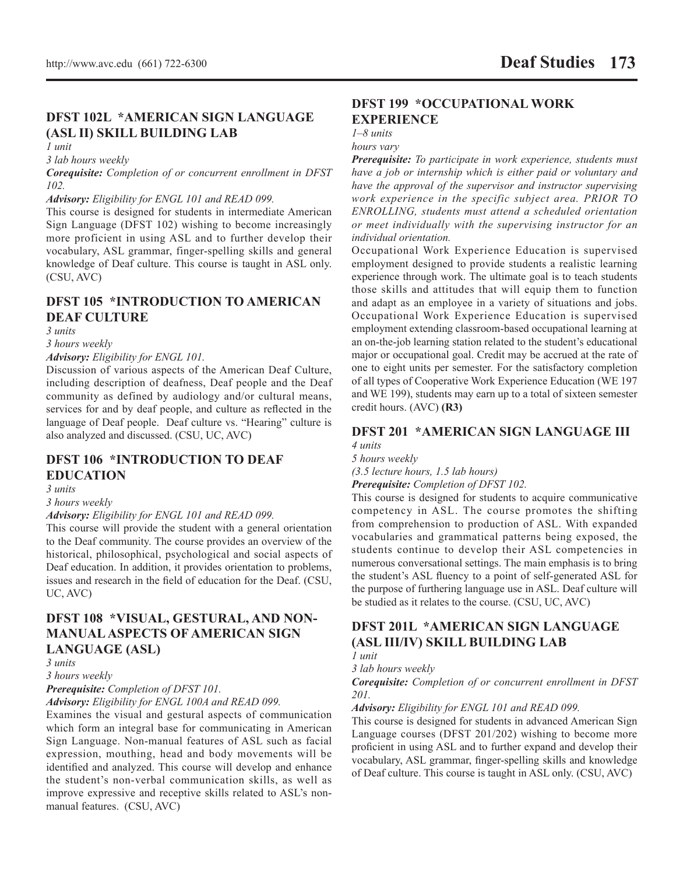# **DFST 102L \*AMERICAN SIGN LANGUAGE (ASL II) SKILL BUILDING LAB**

*1 unit*

*3 lab hours weekly*

*Corequisite: Completion of or concurrent enrollment in DFST 102.* 

*Advisory: Eligibility for ENGL 101 and READ 099.*

This course is designed for students in intermediate American Sign Language (DFST 102) wishing to become increasingly more proficient in using ASL and to further develop their vocabulary, ASL grammar, finger-spelling skills and general knowledge of Deaf culture. This course is taught in ASL only. (CSU, AVC)

### **DFST 105 \*INTRODUCTION TO AMERICAN DEAF CULTURE**

*3 units*

*3 hours weekly*

*Advisory: Eligibility for ENGL 101.*

Discussion of various aspects of the American Deaf Culture, including description of deafness, Deaf people and the Deaf community as defined by audiology and/or cultural means, services for and by deaf people, and culture as reflected in the language of Deaf people. Deaf culture vs. "Hearing" culture is also analyzed and discussed. (CSU, UC, AVC)

## **DFST 106 \*INTRODUCTION TO DEAF EDUCATION**

*3 units*

*3 hours weekly*

*Advisory: Eligibility for ENGL 101 and READ 099.*

This course will provide the student with a general orientation to the Deaf community. The course provides an overview of the historical, philosophical, psychological and social aspects of Deaf education. In addition, it provides orientation to problems, issues and research in the field of education for the Deaf. (CSU, UC, AVC)

## **DFST 108 \*VISUAL, GESTURAL, AND NON-MANUAL ASPECTS OF AMERICAN SIGN LANGUAGE (ASL)**

*3 units*

*3 hours weekly*

*Prerequisite: Completion of DFST 101.*

*Advisory: Eligibility for ENGL 100A and READ 099.*

Examines the visual and gestural aspects of communication which form an integral base for communicating in American Sign Language. Non-manual features of ASL such as facial expression, mouthing, head and body movements will be identified and analyzed. This course will develop and enhance the student's non-verbal communication skills, as well as improve expressive and receptive skills related to ASL's nonmanual features. (CSU, AVC)

## **DFST 199 \*OCCUPATIONAL WORK EXPERIENCE**

*1–8 units*

#### *hours vary*

*Prerequisite: To participate in work experience, students must have a job or internship which is either paid or voluntary and have the approval of the supervisor and instructor supervising work experience in the specific subject area. PRIOR TO ENROLLING, students must attend a scheduled orientation or meet individually with the supervising instructor for an individual orientation.*

Occupational Work Experience Education is supervised employment designed to provide students a realistic learning experience through work. The ultimate goal is to teach students those skills and attitudes that will equip them to function and adapt as an employee in a variety of situations and jobs. Occupational Work Experience Education is supervised employment extending classroom-based occupational learning at an on-the-job learning station related to the student's educational major or occupational goal. Credit may be accrued at the rate of one to eight units per semester. For the satisfactory completion of all types of Cooperative Work Experience Education (WE 197 and WE 199), students may earn up to a total of sixteen semester credit hours. (AVC) **(R3)**

#### **DFST 201 \*AMERICAN SIGN LANGUAGE III** *4 units*

*5 hours weekly*

*(3.5 lecture hours, 1.5 lab hours)*

*Prerequisite: Completion of DFST 102.*

This course is designed for students to acquire communicative competency in ASL. The course promotes the shifting from comprehension to production of ASL. With expanded vocabularies and grammatical patterns being exposed, the students continue to develop their ASL competencies in numerous conversational settings. The main emphasis is to bring the student's ASL fluency to a point of self-generated ASL for the purpose of furthering language use in ASL. Deaf culture will be studied as it relates to the course. (CSU, UC, AVC)

# **DFST 201L \*AMERICAN SIGN LANGUAGE (ASL III/IV) SKILL BUILDING LAB**

*1 unit*

*3 lab hours weekly*

*Corequisite: Completion of or concurrent enrollment in DFST 201.*

#### *Advisory: Eligibility for ENGL 101 and READ 099.*

This course is designed for students in advanced American Sign Language courses (DFST 201/202) wishing to become more proficient in using ASL and to further expand and develop their vocabulary, ASL grammar, finger-spelling skills and knowledge of Deaf culture. This course is taught in ASL only. (CSU, AVC)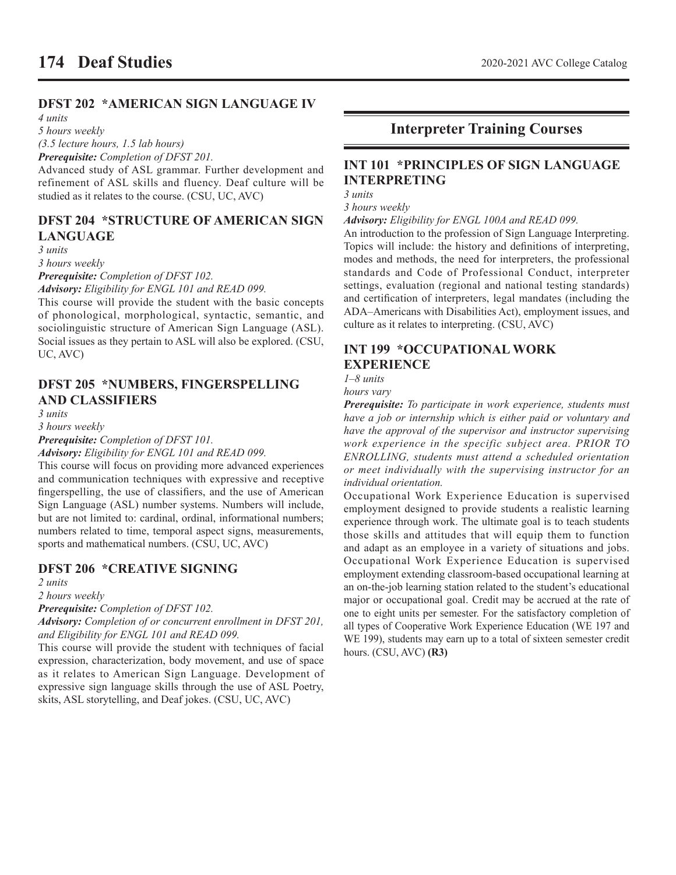# **DFST 202 \*AMERICAN SIGN LANGUAGE IV**

*4 units*

*5 hours weekly*

*(3.5 lecture hours, 1.5 lab hours)*

*Prerequisite: Completion of DFST 201.*

Advanced study of ASL grammar. Further development and refinement of ASL skills and fluency. Deaf culture will be studied as it relates to the course. (CSU, UC, AVC)

## **DFST 204 \*STRUCTURE OF AMERICAN SIGN LANGUAGE**

*3 units*

*3 hours weekly*

*Prerequisite: Completion of DFST 102.*

*Advisory: Eligibility for ENGL 101 and READ 099.*

This course will provide the student with the basic concepts of phonological, morphological, syntactic, semantic, and sociolinguistic structure of American Sign Language (ASL). Social issues as they pertain to ASL will also be explored. (CSU, UC, AVC)

## **DFST 205 \*NUMBERS, FINGERSPELLING AND CLASSIFIERS**

*3 units*

*3 hours weekly*

*Prerequisite: Completion of DFST 101.*

*Advisory: Eligibility for ENGL 101 and READ 099.*

This course will focus on providing more advanced experiences and communication techniques with expressive and receptive fingerspelling, the use of classifiers, and the use of American Sign Language (ASL) number systems. Numbers will include, but are not limited to: cardinal, ordinal, informational numbers; numbers related to time, temporal aspect signs, measurements, sports and mathematical numbers. (CSU, UC, AVC)

### **DFST 206 \*CREATIVE SIGNING**

*2 units*

*2 hours weekly*

*Prerequisite: Completion of DFST 102.*

*Advisory: Completion of or concurrent enrollment in DFST 201, and Eligibility for ENGL 101 and READ 099.*

This course will provide the student with techniques of facial expression, characterization, body movement, and use of space as it relates to American Sign Language. Development of expressive sign language skills through the use of ASL Poetry, skits, ASL storytelling, and Deaf jokes. (CSU, UC, AVC)

# **Interpreter Training Courses**

## **INT 101 \*PRINCIPLES OF SIGN LANGUAGE INTERPRETING**

*3 units*

*3 hours weekly*

*Advisory: Eligibility for ENGL 100A and READ 099.* 

An introduction to the profession of Sign Language Interpreting. Topics will include: the history and definitions of interpreting, modes and methods, the need for interpreters, the professional standards and Code of Professional Conduct, interpreter settings, evaluation (regional and national testing standards) and certification of interpreters, legal mandates (including the ADA–Americans with Disabilities Act), employment issues, and culture as it relates to interpreting. (CSU, AVC)

# **INT 199 \*OCCUPATIONAL WORK EXPERIENCE**

*1–8 units*

*hours vary*

*Prerequisite: To participate in work experience, students must have a job or internship which is either paid or voluntary and have the approval of the supervisor and instructor supervising work experience in the specific subject area. PRIOR TO ENROLLING, students must attend a scheduled orientation or meet individually with the supervising instructor for an individual orientation.*

Occupational Work Experience Education is supervised employment designed to provide students a realistic learning experience through work. The ultimate goal is to teach students those skills and attitudes that will equip them to function and adapt as an employee in a variety of situations and jobs. Occupational Work Experience Education is supervised employment extending classroom-based occupational learning at an on-the-job learning station related to the student's educational major or occupational goal. Credit may be accrued at the rate of one to eight units per semester. For the satisfactory completion of all types of Cooperative Work Experience Education (WE 197 and WE 199), students may earn up to a total of sixteen semester credit hours. (CSU, AVC) **(R3)**